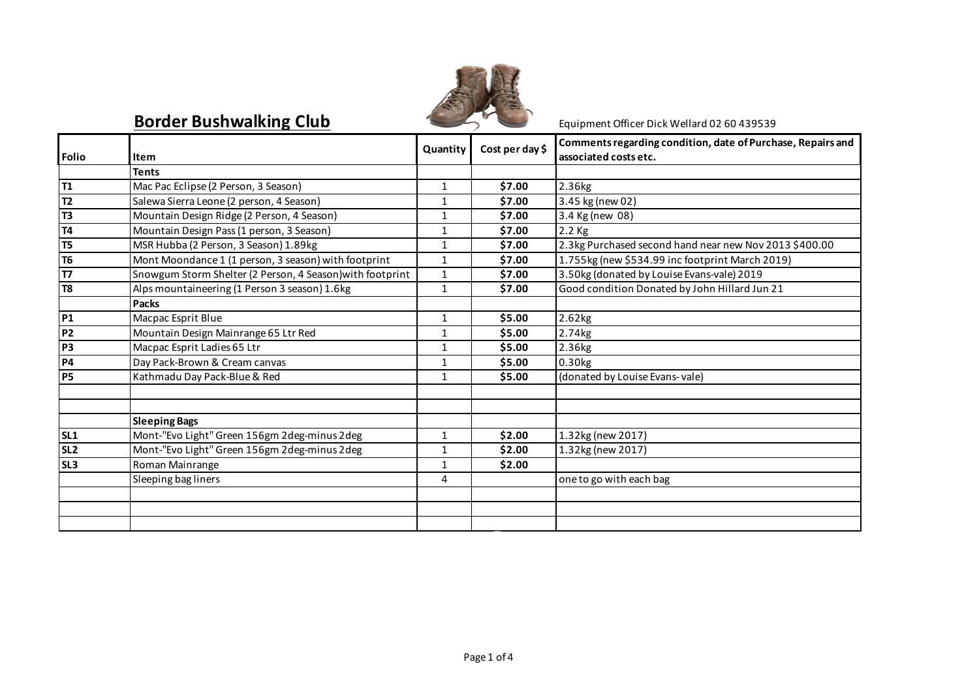

## **Border Bushwalking Club** Equipment Officer Dick Wellard 02 60 439539

|                 |                                                           | Quantity     | Cost per day \$ | Comments regarding condition, date of Purchase, Repairs and |
|-----------------|-----------------------------------------------------------|--------------|-----------------|-------------------------------------------------------------|
| <b>Folio</b>    | Item                                                      |              |                 | associated costs etc.                                       |
|                 | Tents                                                     |              |                 |                                                             |
| T1              | Mac Pac Eclipse (2 Person, 3 Season)                      | $\mathbf{1}$ | \$7.00          | 2.36kg                                                      |
| T <sub>2</sub>  | Salewa Sierra Leone (2 person, 4 Season)                  | 1            | \$7.00          | 3.45 kg (new 02)                                            |
| T <sub>3</sub>  | Mountain Design Ridge (2 Person, 4 Season)                | $\mathbf{1}$ | \$7.00          | 3.4 Kg (new 08)                                             |
| <b>T4</b>       | Mountain Design Pass (1 person, 3 Season)                 | 1            | \$7.00          | $2.2$ Kg                                                    |
| T <sub>5</sub>  | MSR Hubba (2 Person, 3 Season) 1.89kg                     | $\mathbf{1}$ | \$7.00          | 2.3kg Purchased second hand near new Nov 2013 \$400.00      |
| T <sub>6</sub>  | Mont Moondance 1 (1 person, 3 season) with footprint      | $\mathbf{1}$ | \$7.00          | 1.755kg (new \$534.99 inc footprint March 2019)             |
| <b>T7</b>       | Snowgum Storm Shelter (2 Person, 4 Season) with footprint | $\mathbf{1}$ | \$7.00          | 3.50kg (donated by Louise Evans-vale) 2019                  |
| T8              | Alps mountaineering (1 Person 3 season) 1.6kg             | $\mathbf{1}$ | \$7.00          | Good condition Donated by John Hillard Jun 21               |
|                 | <b>Packs</b>                                              |              |                 |                                                             |
| P <sub>1</sub>  | Macpac Esprit Blue                                        | $\mathbf{1}$ | \$5.00          | 2.62kg                                                      |
| <b>P2</b>       | Mountain Design Mainrange 65 Ltr Red                      | $\mathbf{1}$ | \$5.00          | 2.74kg                                                      |
| P <sub>3</sub>  | Macpac Esprit Ladies 65 Ltr                               | 1            | \$5.00          | 2.36kg                                                      |
| P4              | Day Pack-Brown & Cream canvas                             | $\mathbf{1}$ | \$5.00          | $0.30$ <sub>kg</sub>                                        |
| <b>P5</b>       | Kathmadu Day Pack-Blue & Red                              | $\mathbf{1}$ | \$5.00          | (donated by Louise Evans-vale)                              |
|                 |                                                           |              |                 |                                                             |
|                 |                                                           |              |                 |                                                             |
|                 | <b>Sleeping Bags</b>                                      |              |                 |                                                             |
| SL <sub>1</sub> | Mont-"Evo Light" Green 156gm 2deg-minus 2deg              | $\mathbf{1}$ | \$2.00          | 1.32kg (new 2017)                                           |
| SL <sub>2</sub> | Mont-"Evo Light" Green 156gm 2deg-minus 2deg              | $\mathbf{1}$ | \$2.00          | 1.32kg (new 2017)                                           |
| SL <sub>3</sub> | Roman Mainrange                                           | 1            | \$2.00          |                                                             |
|                 | Sleeping bag liners                                       | 4            |                 | one to go with each bag                                     |
|                 |                                                           |              |                 |                                                             |
|                 |                                                           |              |                 |                                                             |
|                 |                                                           |              |                 |                                                             |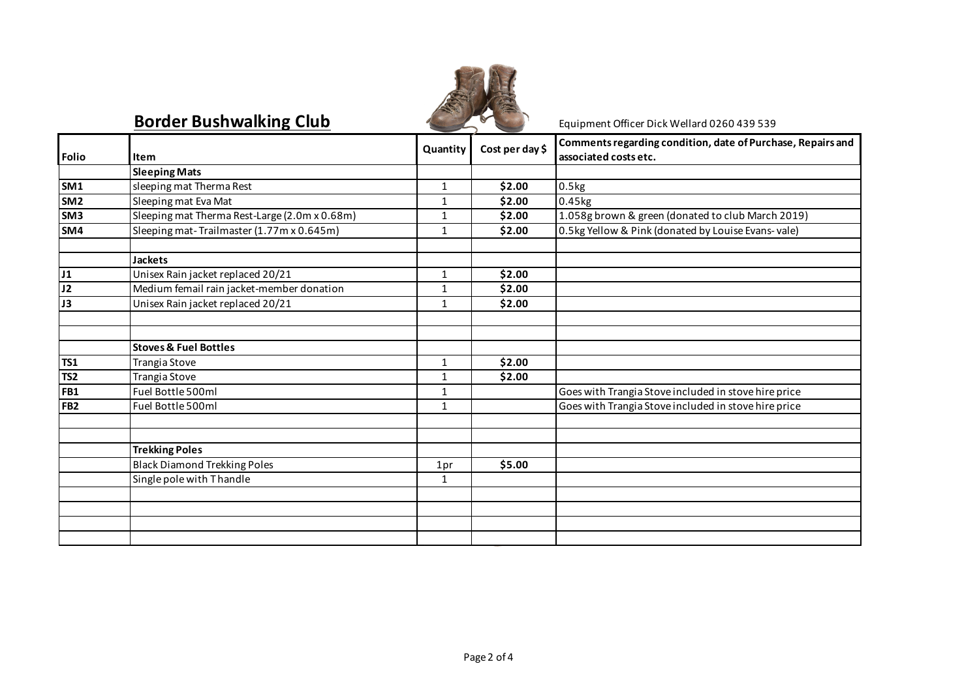

## **Border Bushwalking Club** Equipment Officer Dick Wellard 0260 439 539

|                 |                                               | Quantity     | Cost per day \$ | Comments regarding condition, date of Purchase, Repairs and |
|-----------------|-----------------------------------------------|--------------|-----------------|-------------------------------------------------------------|
| <b>Folio</b>    | Item                                          |              |                 | associated costs etc.                                       |
|                 | <b>Sleeping Mats</b>                          |              |                 |                                                             |
| SM <sub>1</sub> | sleeping mat Therma Rest                      | $\mathbf{1}$ | \$2.00          | 0.5kg                                                       |
| SM <sub>2</sub> | Sleeping mat Eva Mat                          | $\mathbf{1}$ | \$2.00          | 0.45kg                                                      |
| SM <sub>3</sub> | Sleeping mat Therma Rest-Large (2.0m x 0.68m) | 1            | \$2.00          | 1.058g brown & green (donated to club March 2019)           |
| SM4             | Sleeping mat-Trailmaster (1.77m x 0.645m)     | $\mathbf{1}$ | \$2.00          | 0.5kg Yellow & Pink (donated by Louise Evans-vale)          |
|                 |                                               |              |                 |                                                             |
|                 | <b>Jackets</b>                                |              |                 |                                                             |
| J1              | Unisex Rain jacket replaced 20/21             | $\mathbf{1}$ | \$2.00          |                                                             |
| J2              | Medium femail rain jacket-member donation     | $\mathbf{1}$ | \$2.00          |                                                             |
| J3              | Unisex Rain jacket replaced 20/21             | $\mathbf{1}$ | \$2.00          |                                                             |
|                 |                                               |              |                 |                                                             |
|                 |                                               |              |                 |                                                             |
|                 | <b>Stoves &amp; Fuel Bottles</b>              |              |                 |                                                             |
| <b>TS1</b>      | Trangia Stove                                 | $\mathbf{1}$ | \$2.00          |                                                             |
| TS <sub>2</sub> | Trangia Stove                                 | $\mathbf{1}$ | \$2.00          |                                                             |
| FB1             | Fuel Bottle 500ml                             | $\mathbf{1}$ |                 | Goes with Trangia Stove included in stove hire price        |
| FB <sub>2</sub> | Fuel Bottle 500ml                             | $\mathbf{1}$ |                 | Goes with Trangia Stove included in stove hire price        |
|                 |                                               |              |                 |                                                             |
|                 |                                               |              |                 |                                                             |
|                 | <b>Trekking Poles</b>                         |              |                 |                                                             |
|                 | <b>Black Diamond Trekking Poles</b>           | 1pr          | \$5.00          |                                                             |
|                 | Single pole with Thandle                      | $\mathbf{1}$ |                 |                                                             |
|                 |                                               |              |                 |                                                             |
|                 |                                               |              |                 |                                                             |
|                 |                                               |              |                 |                                                             |
|                 |                                               |              |                 |                                                             |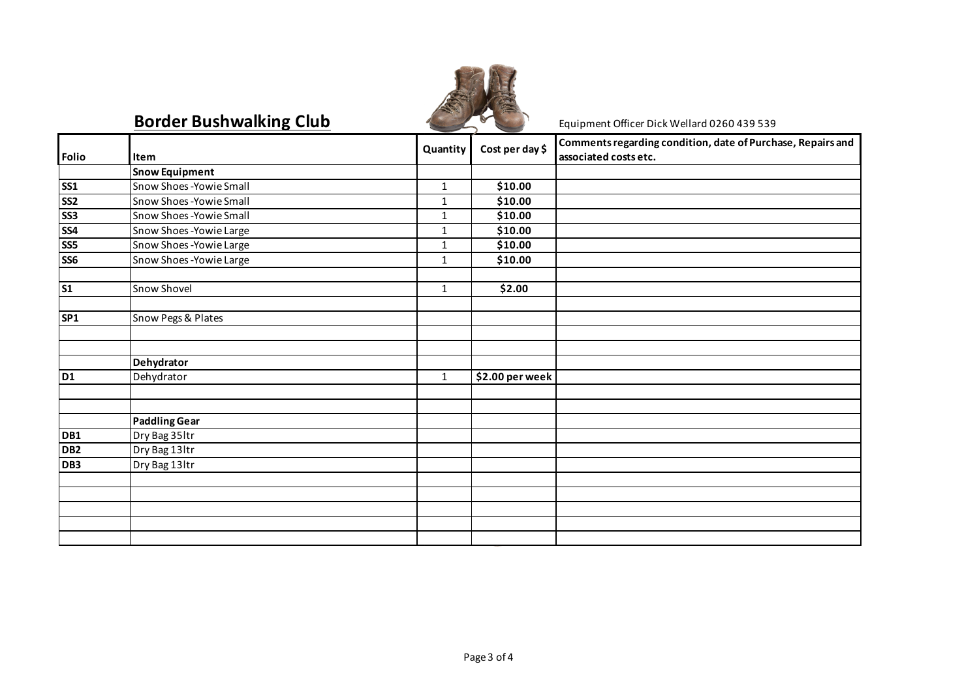

## **Border Bushwalking Club** Equipment Officer Dick Wellard 0260 439 539

|                 |                        | Quantity     | Cost per day \$     | Comments regarding condition, date of Purchase, Repairs and |
|-----------------|------------------------|--------------|---------------------|-------------------------------------------------------------|
| <b>Folio</b>    | Item                   |              |                     | associated costs etc.                                       |
|                 | <b>Snow Equipment</b>  |              |                     |                                                             |
| <b>SS1</b>      | Snow Shoes-Yowie Small | $\mathbf{1}$ | \$10.00             |                                                             |
| SS <sub>2</sub> | Snow Shoes-Yowie Small | $\mathbf{1}$ | \$10.00             |                                                             |
| SS3             | Snow Shoes-Yowie Small | $\mathbf{1}$ | \$10.00             |                                                             |
| <b>SS4</b>      | Snow Shoes-Yowie Large | $\mathbf{1}$ | \$10.00             |                                                             |
| <b>SS5</b>      | Snow Shoes-Yowie Large | $\mathbf 1$  | $\overline{$}10.00$ |                                                             |
| SS6             | Snow Shoes-Yowie Large | $\mathbf{1}$ | \$10.00             |                                                             |
| <b>S1</b>       | Snow Shovel            | $\mathbf{1}$ | \$2.00              |                                                             |
| SP <sub>1</sub> | Snow Pegs & Plates     |              |                     |                                                             |
|                 |                        |              |                     |                                                             |
|                 | Dehydrator             |              |                     |                                                             |
| <b>D1</b>       | Dehydrator             | $\mathbf{1}$ | \$2.00 per week     |                                                             |
|                 |                        |              |                     |                                                             |
|                 | <b>Paddling Gear</b>   |              |                     |                                                             |
| DB1             | Dry Bag 35ltr          |              |                     |                                                             |
| DB <sub>2</sub> | Dry Bag 13ltr          |              |                     |                                                             |
| DB3             | Dry Bag 13ltr          |              |                     |                                                             |
|                 |                        |              |                     |                                                             |
|                 |                        |              |                     |                                                             |
|                 |                        |              |                     |                                                             |
|                 |                        |              |                     |                                                             |
|                 |                        |              |                     |                                                             |